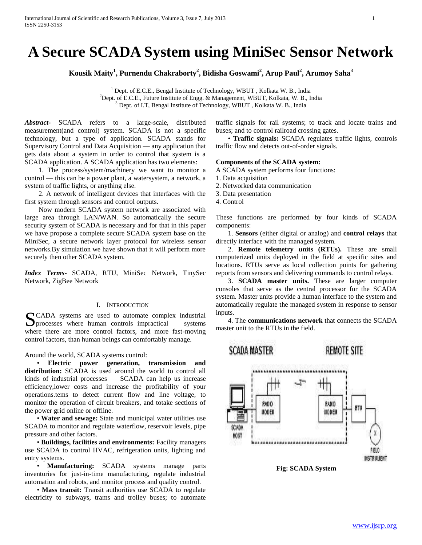# **A Secure SCADA System using MiniSec Sensor Network**

**Kousik Maity<sup>1</sup> , Purnendu Chakraborty<sup>2</sup> , Bidisha Goswami<sup>2</sup> , Arup Paul<sup>2</sup> , Arumoy Saha<sup>3</sup>**

 $1$  Dept. of E.C.E., Bengal Institute of Technology, WBUT, Kolkata W. B., India <sup>2</sup>Dept. of E.C.E., Future Institute of Engg. & Management, WBUT, Kolkata, W. B., India <sup>3</sup> Dept. of I.T, Bengal Institute of Technology, WBUT, Kolkata W. B., India

*Abstract***-** SCADA refers to a large-scale, distributed measurement(and control) system. SCADA is not a specific technology, but a type of application. SCADA stands for Supervisory Control and Data Acquisition — any application that gets data about a system in order to control that system is a SCADA application. A SCADA application has two elements:

 1. The process/system/machinery we want to monitor a control — this can be a power plant, a watersystem, a network, a system of traffic lights, or anything else.

 2. A network of intelligent devices that interfaces with the first system through sensors and control outputs.

 Now modern SCADA system network are associated with large area through LAN/WAN. So automatically the secure security system of SCADA is necessary and for that in this paper we have propose a complete secure SCADA system base on the MiniSec, a secure network layer protocol for wireless sensor networks.By simulation we have shown that it will perform more securely then other SCADA system.

*Index Terms*- SCADA, RTU, MiniSec Network, TinySec Network, ZigBee Network

### I. INTRODUCTION

CADA systems are used to automate complex industrial SCADA systems are used to automate complex industrial<br>processes where human controls impractical — systems where there are more control factors, and more fast-moving control factors, than human beings can comfortably manage.

Around the world, SCADA systems control:

 • **Electric power generation, transmission and distribution:** SCADA is used around the world to control all kinds of industrial processes — SCADA can help us increase efficiency,lower costs and increase the profitability of your operations.tems to detect current flow and line voltage, to monitor the operation of circuit breakers, and totake sections of the power grid online or offline.

 • **Water and sewage:** State and municipal water utilities use SCADA to monitor and regulate waterflow, reservoir levels, pipe pressure and other factors.

 • **Buildings, facilities and environments:** Facility managers use SCADA to control HVAC, refrigeration units, lighting and entry systems.

 • **Manufacturing:** SCADA systems manage parts inventories for just-in-time manufacturing, regulate industrial automation and robots, and monitor process and quality control.

 • **Mass transit:** Transit authorities use SCADA to regulate electricity to subways, trams and trolley buses; to automate

traffic signals for rail systems; to track and locate trains and buses; and to control railroad crossing gates.

 • **Traffic signals:** SCADA regulates traffic lights, controls traffic flow and detects out-of-order signals.

# **Components of the SCADA system:**

A SCADA system performs four functions:

1. Data acquisition

2. Networked data communication

3. Data presentation

4. Control

These functions are performed by four kinds of SCADA components:

 1. **Sensors** (either digital or analog) and **control relays** that directly interface with the managed system.

 2. **Remote telemetry units (RTUs).** These are small computerized units deployed in the field at specific sites and locations. RTUs serve as local collection points for gathering reports from sensors and delivering commands to control relays.

 3. **SCADA master units.** These are larger computer consoles that serve as the central processor for the SCADA system. Master units provide a human interface to the system and automatically regulate the managed system in response to sensor inputs.

 4. The **communications network** that connects the SCADA master unit to the RTUs in the field.



**Fig: SCADA System**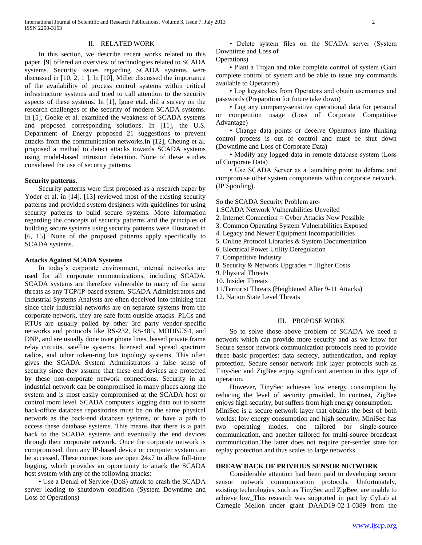#### II. RELATED WORK

 In this section, we describe recent works related to this paper. [9] offered an overview of technologies related to SCADA systems. Security issues regarding SCADA systems were discussed in [10, 2, 1 ]. In [10], Miller discussed the importance of the availability of process control systems within critical infrastructure systems and tried to call attention to the security aspects of these systems. In [1], Igure etal. did a survey on the research challenges of the security of modern SCADA systems. In [5], Goeke et al. examined the weakness of SCADA systems and proposed corresponding solutions. In [11], the U.S. Department of Energy proposed 21 suggestions to prevent attacks from the communication networks.In [12], Cheung et al. proposed a method to detect attacks towards SCADA systems using model-based intrusion detection. None of these studies considered the use of security patterns.

## **Security patterns**.

 Security patterns were first proposed as a research paper by Yoder et al. in [14]. [13] reviewed most of the existing security patterns and provided system designers with guidelines for using security patterns to build secure systems. More information regarding the concepts of security patterns and the principles of building secure systems using security patterns were illustrated in [6, 15]. None of the proposed patterns apply specifically to SCADA systems.

# **Attacks Against SCADA Systems**

 In today's corporate environment, internal networks are used for all corporate communications, including SCADA. SCADA systems are therefore vulnerable to many of the same threats as any TCP/IP-based system. SCADA Administrators and Industrial Systems Analysts are often deceived into thinking that since their industrial networks are on separate systems from the corporate network, they are safe form outside attacks. PLCs and RTUs are usually polled by other 3rd party vendor-specific networks and protocols like RS-232, RS-485, MODBUS4, and DNP, and are usually done over phone lines, leased private frame relay circuits, satellite systems, licensed and spread spectrum radios, and other token-ring bus topology systems. This often gives the SCADA System Administrators a false sense of security since they assume that these end devices are protected by these non-corporate network connections. Security in an industrial network can be compromised in many places along the system and is most easily compromised at the SCADA host or control room level. SCADA computers logging data out to some back-office database repositories must be on the same physical network as the back-end database systems, or have a path to access these database systems. This means that there is a path back to the SCADA systems and eventually the end devices through their corporate network. Once the corporate network is compromised, then any IP-based device or computer system can be accessed. These connections are open 24x7 to allow full-time logging, which provides an opportunity to attack the SCADA host system with any of the following attacks:

 • Use a Denial of Service (DoS) attack to crash the SCADA server leading to shutdown condition (System Downtime and Loss of Operations)

 • Delete system files on the SCADA server (System Downtime and Loss of Operations)

 • Plant a Trojan and take complete control of system (Gain complete control of system and be able to issue any commands available to Operators)

 • Log keystrokes from Operators and obtain usernames and passwords (Preparation for future take down)

 • Log any company-sensitive operational data for personal or competition usage (Loss of Corporate Competitive Advantage)

 • Change data points or deceive Operators into thinking control process is out of control and must be shut down (Downtime and Loss of Corporate Data)

 • Modify any logged data in remote database system (Loss of Corporate Data)

 • Use SCADA Server as a launching point to defame and compromise other system components within corporate network. (IP Spoofing).

So the SCADA Security Problem are-

1.SCADA Network Vulnerabilities Unveiled

2. Internet Connection = Cyber Attacks Now Possible

- 3. Common Operating System Vulnerabilities Exposed
- 4. Legacy and Newer Equipment Incompatibilities
- 5. Online Protocol Libraries & System Documentation
- 6. Electrical Power Utility Deregulation
- 7. Competitive Industry
- 8. Security & Network Upgrades = Higher Costs
- 9. Physical Threats
- 10. Insider Threats
- 11.Terrorist Threats (Heightened After 9-11 Attacks)
- 12. Nation State Level Threats

# III. PROPOSE WORK

 So to solve those above problem of SCADA we need a network which can provide more security and as we know for Secure sensor network communication protocols need to provide three basic properties: data secrecy, authentication, and replay protection. Secure sensor network link layer protocols such as Tiny-Sec and ZigBee enjoy significant attention in this type of operation.

 However, TinySec achieves low energy consumption by reducing the level of security provided. In contrast, ZigBee enjoys high security, but suffers from high energy consumption. MiniSec is a secure network layer that obtains the best of both worlds: low energy consumption and high security. MiniSec has two operating modes, one tailored for single-source communication, and another tailored for multi-source broadcast communication.The latter does not require per-sender state for replay protection and thus scales to large networks.

#### **DREAW BACK OF PRIVIOUS SENSOR NETWORK**

 Considerable attention had been paid to developing secure sensor network communication protocols. Unfortunately, existing technologies, such as TinySec and ZigBee, are unable to achieve low\_This research was supported in part by CyLab at Carnegie Mellon under grant DAAD19-02-1-0389 from the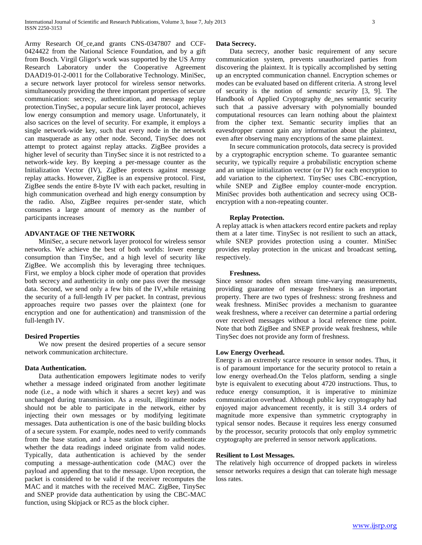Army Research Of ce,and grants CNS-0347807 and CCF-0424422 from the National Science Foundation, and by a gift from Bosch. Virgil Gligor's work was supported by the US Army Research Laboratory under the Cooperative Agreement DAAD19-01-2-0011 for the Collaborative Technology. MiniSec, a secure network layer protocol for wireless sensor networks. simultaneously providing the three important properties of secure communication: secrecy, authentication, and message replay protection.TinySec, a popular secure link layer protocol, achieves low energy consumption and memory usage. Unfortunately, it also sacrices on the level of security. For example, it employs a single network-wide key, such that every node in the network can masquerade as any other node. Second, TinySec does not attempt to protect against replay attacks. ZigBee provides a higher level of security than TinySec since it is not restricted to a network-wide key. By keeping a per-message counter as the Initialization Vector (IV), ZigBee protects against message replay attacks. However, ZigBee is an expensive protocol. First, ZigBee sends the entire 8-byte IV with each packet, resulting in high communication overhead and high energy consumption by the radio. Also, ZigBee requires per-sender state, which consumes a large amount of memory as the number of participants increases

### **ADVANTAGE OF THE NETWORK**

 MiniSec, a secure network layer protocol for wireless sensor networks. We achieve the best of both worlds: lower energy consumption than TinySec, and a high level of security like ZigBee. We accomplish this by leveraging three techniques. First, we employ a block cipher mode of operation that provides both secrecy and authenticity in only one pass over the message data. Second, we send only a few bits of the IV,while retaining the security of a full-length IV per packet. In contrast, previous approaches require two passes over the plaintext (one for encryption and one for authentication) and transmission of the full-length IV.

# **Desired Properties**

 We now present the desired properties of a secure sensor network communication architecture.

### **Data Authentication.**

 Data authentication empowers legitimate nodes to verify whether a message indeed originated from another legitimate node (i.e., a node with which it shares a secret key) and was unchanged during transmission. As a result, illegitimate nodes should not be able to participate in the network, either by injecting their own messages or by modifying legitimate messages. Data authentication is one of the basic building blocks of a secure system. For example, nodes need to verify commands from the base station, and a base station needs to authenticate whether the data readings indeed originate from valid nodes. Typically, data authentication is achieved by the sender computing a message-authentication code (MAC) over the payload and appending that to the message. Upon reception, the packet is considered to be valid if the receiver recomputes the MAC and it matches with the received MAC. ZigBee, TinySec and SNEP provide data authentication by using the CBC-MAC function, using Skipjack or RC5 as the block cipher.

## **Data Secrecy.**

 Data secrecy, another basic requirement of any secure communication system, prevents unauthorized parties from discovering the plaintext. It is typically accomplished by setting up an encrypted communication channel. Encryption schemes or modes can be evaluated based on different criteria. A strong level of security is the notion of *semantic security* [3, 9]. The Handbook of Applied Cryptography de\_nes semantic security such that .a passive adversary with polynomially bounded computational resources can learn nothing about the plaintext from the cipher text. Semantic security implies that an eavesdropper cannot gain any information about the plaintext, even after observing many encryptions of the same plaintext.

 In secure communication protocols, data secrecy is provided by a cryptographic encryption scheme. To guarantee semantic security, we typically require a probabilistic encryption scheme and an unique initialization vector (or IV) for each encryption to add variation to the ciphertext. TinySec uses CBC-encryption, while SNEP and ZigBee employ counter-mode encryption. MiniSec provides both authentication and secrecy using OCBencryption with a non-repeating counter.

# **Replay Protection.**

A replay attack is when attackers record entire packets and replay them at a later time. TinySec is not resilient to such an attack, while SNEP provides protection using a counter. MiniSec provides replay protection in the unicast and broadcast setting, respectively.

## **Freshness.**

Since sensor nodes often stream time-varying measurements, providing guarantee of message freshness is an important property. There are two types of freshness: strong freshness and weak freshness. MiniSec provides a mechanism to guarantee weak freshness, where a receiver can determine a partial ordering over received messages without a local reference time point. Note that both ZigBee and SNEP provide weak freshness, while TinySec does not provide any form of freshness.

# **Low Energy Overhead.**

Energy is an extremely scarce resource in sensor nodes. Thus, it is of paramount importance for the security protocol to retain a low energy overhead.On the Telos platform, sending a single byte is equivalent to executing about 4720 instructions. Thus, to reduce energy consumption, it is imperative to minimize communication overhead. Although public key cryptography had enjoyed major advancement recently, it is still 3.4 orders of magnitude more expensive than symmetric cryptography in typical sensor nodes. Because it requires less energy consumed by the processor, security protocols that only employ symmetric cryptography are preferred in sensor network applications.

### **Resilient to Lost Messages.**

The relatively high occurrence of dropped packets in wireless sensor networks requires a design that can tolerate high message loss rates.